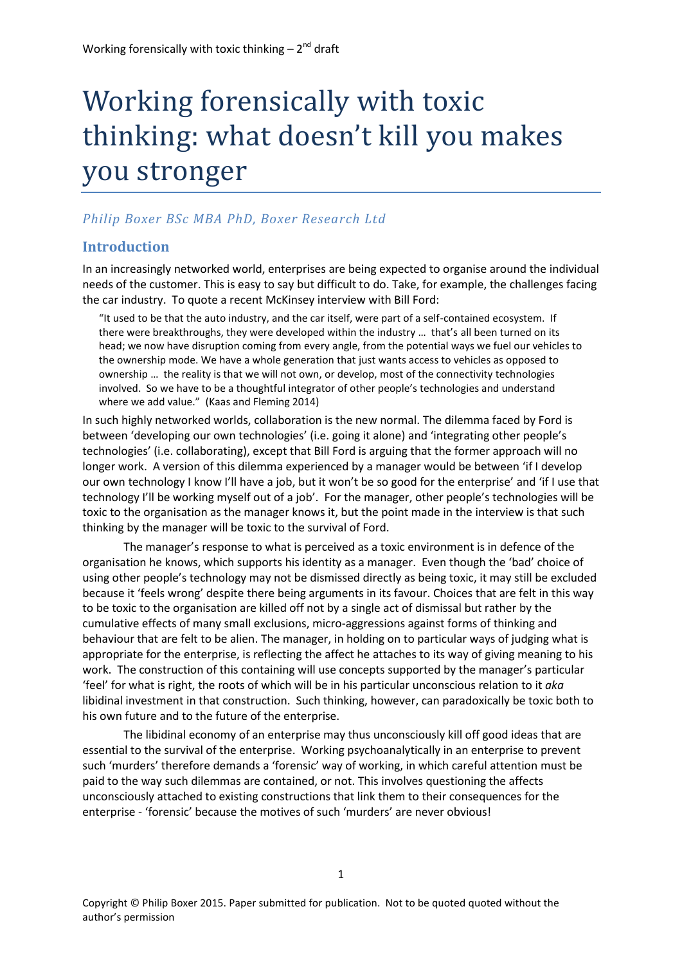# Working forensically with toxic thinking: what doesn't kill you makes you stronger

## *Philip Boxer BSc MBA PhD, Boxer Research Ltd*

## **Introduction**

In an increasingly networked world, enterprises are being expected to organise around the individual needs of the customer. This is easy to say but difficult to do. Take, for example, the challenges facing the car industry. To quote a recent McKinsey interview with Bill Ford:

"It used to be that the auto industry, and the car itself, were part of a self-contained ecosystem. If there were breakthroughs, they were developed within the industry … that's all been turned on its head; we now have disruption coming from every angle, from the potential ways we fuel our vehicles to the ownership mode. We have a whole generation that just wants access to vehicles as opposed to ownership … the reality is that we will not own, or develop, most of the connectivity technologies involved. So we have to be a thoughtful integrator of other people's technologies and understand where we add value." [\(Kaas and Fleming 2014\)](#page-8-0)

In such highly networked worlds, collaboration is the new normal. The dilemma faced by Ford is between 'developing our own technologies' (i.e. going it alone) and 'integrating other people's technologies' (i.e. collaborating), except that Bill Ford is arguing that the former approach will no longer work. A version of this dilemma experienced by a manager would be between 'if I develop our own technology I know I'll have a job, but it won't be so good for the enterprise' and 'if I use that technology I'll be working myself out of a job'. For the manager, other people's technologies will be toxic to the organisation as the manager knows it, but the point made in the interview is that such thinking by the manager will be toxic to the survival of Ford.

The manager's response to what is perceived as a toxic environment is in defence of the organisation he knows, which supports his identity as a manager. Even though the 'bad' choice of using other people's technology may not be dismissed directly as being toxic, it may still be excluded because it 'feels wrong' despite there being arguments in its favour. Choices that are felt in this way to be toxic to the organisation are killed off not by a single act of dismissal but rather by the cumulative effects of many small exclusions, micro-aggressions against forms of thinking and behaviour that are felt to be alien. The manager, in holding on to particular ways of judging what is appropriate for the enterprise, is reflecting the affect he attaches to its way of giving meaning to his work. The construction of this containing will use concepts supported by the manager's particular 'feel' for what is right, the roots of which will be in his particular unconscious relation to it *aka* libidinal investment in that construction. Such thinking, however, can paradoxically be toxic both to his own future and to the future of the enterprise.

The libidinal economy of an enterprise may thus unconsciously kill off good ideas that are essential to the survival of the enterprise. Working psychoanalytically in an enterprise to prevent such 'murders' therefore demands a 'forensic' way of working, in which careful attention must be paid to the way such dilemmas are contained, or not. This involves questioning the affects unconsciously attached to existing constructions that link them to their consequences for the enterprise - 'forensic' because the motives of such 'murders' are never obvious!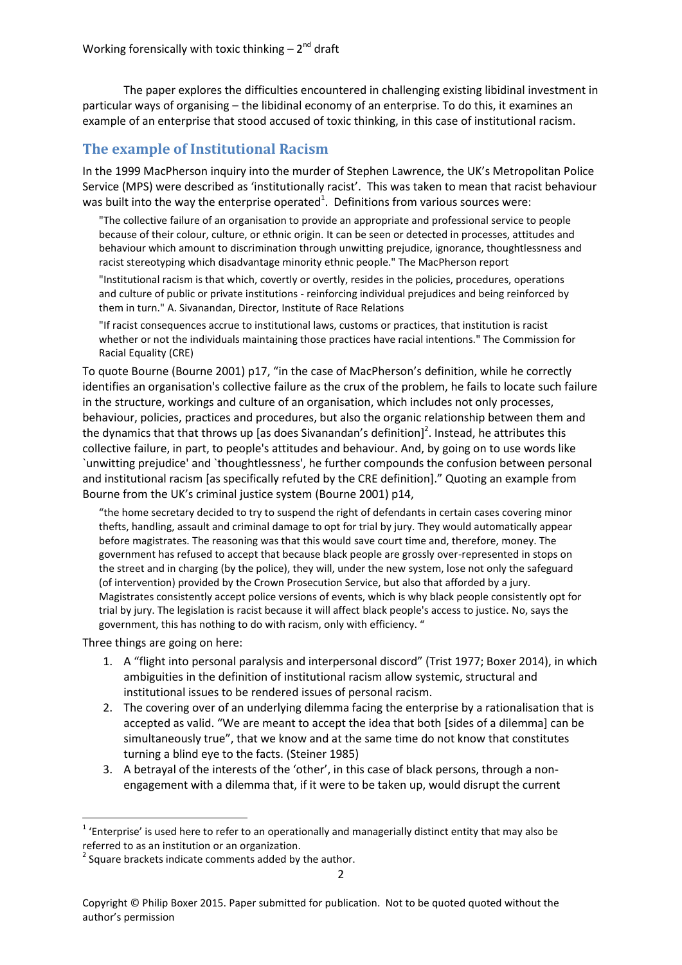The paper explores the difficulties encountered in challenging existing libidinal investment in particular ways of organising – the libidinal economy of an enterprise. To do this, it examines an example of an enterprise that stood accused of toxic thinking, in this case of institutional racism.

## **The example of Institutional Racism**

In the 1999 MacPherson inquiry into the murder of Stephen Lawrence, the UK's Metropolitan Police Service (MPS) were described as 'institutionally racist'. This was taken to mean that racist behaviour was built into the way the enterprise operated<sup>1</sup>. Definitions from various sources were:

"The collective failure of an organisation to provide an appropriate and professional service to people because of their colour, culture, or ethnic origin. It can be seen or detected in processes, attitudes and behaviour which amount to discrimination through unwitting prejudice, ignorance, thoughtlessness and racist stereotyping which disadvantage minority ethnic people." The MacPherson report

"Institutional racism is that which, covertly or overtly, resides in the policies, procedures, operations and culture of public or private institutions - reinforcing individual prejudices and being reinforced by them in turn." A. Sivanandan, Director, Institute of Race Relations

"If racist consequences accrue to institutional laws, customs or practices, that institution is racist whether or not the individuals maintaining those practices have racial intentions." The Commission for Racial Equality (CRE)

To quote Bourne [\(Bourne 2001\)](#page-8-1) p17, "in the case of MacPherson's definition, while he correctly identifies an organisation's collective failure as the crux of the problem, he fails to locate such failure in the structure, workings and culture of an organisation, which includes not only processes, behaviour, policies, practices and procedures, but also the organic relationship between them and the dynamics that that throws up [as does Sivanandan's definition]<sup>2</sup>. Instead, he attributes this collective failure, in part, to people's attitudes and behaviour. And, by going on to use words like `unwitting prejudice' and `thoughtlessness', he further compounds the confusion between personal and institutional racism [as specifically refuted by the CRE definition]." Quoting an example from Bourne from the UK's criminal justice system [\(Bourne 2001\)](#page-8-1) p14,

"the home secretary decided to try to suspend the right of defendants in certain cases covering minor thefts, handling, assault and criminal damage to opt for trial by jury. They would automatically appear before magistrates. The reasoning was that this would save court time and, therefore, money. The government has refused to accept that because black people are grossly over-represented in stops on the street and in charging (by the police), they will, under the new system, lose not only the safeguard (of intervention) provided by the Crown Prosecution Service, but also that afforded by a jury. Magistrates consistently accept police versions of events, which is why black people consistently opt for trial by jury. The legislation is racist because it will affect black people's access to justice. No, says the government, this has nothing to do with racism, only with efficiency. "

Three things are going on here:

1

- 1. A "flight into personal paralysis and interpersonal discord" [\(Trist 1977;](#page-9-0) [Boxer 2014\)](#page-8-2), in which ambiguities in the definition of institutional racism allow systemic, structural and institutional issues to be rendered issues of personal racism.
- 2. The covering over of an underlying dilemma facing the enterprise by a rationalisation that is accepted as valid. "We are meant to accept the idea that both [sides of a dilemma] can be simultaneously true", that we know and at the same time do not know that constitutes turning a blind eye to the facts. [\(Steiner 1985\)](#page-9-1)
- 3. A betrayal of the interests of the 'other', in this case of black persons, through a nonengagement with a dilemma that, if it were to be taken up, would disrupt the current

 $1$  'Enterprise' is used here to refer to an operationally and managerially distinct entity that may also be referred to as an institution or an organization.

 $2$  Square brackets indicate comments added by the author.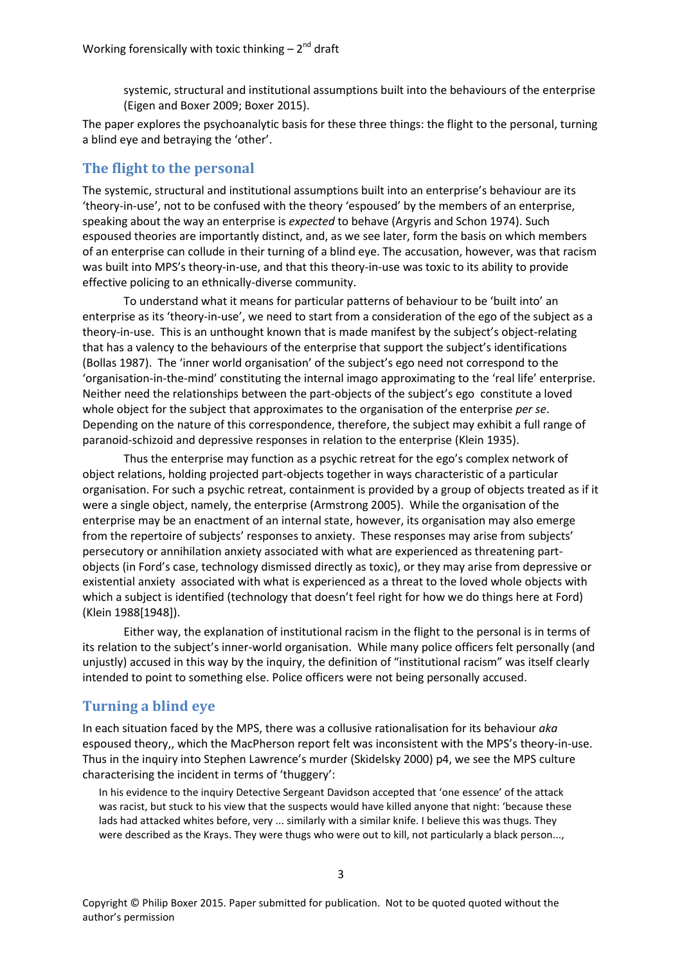systemic, structural and institutional assumptions built into the behaviours of the enterprise [\(Eigen and Boxer 2009;](#page-8-3) [Boxer 2015\)](#page-8-4).

The paper explores the psychoanalytic basis for these three things: the flight to the personal, turning a blind eye and betraying the 'other'.

## **The flight to the personal**

The systemic, structural and institutional assumptions built into an enterprise's behaviour are its 'theory-in-use', not to be confused with the theory 'espoused' by the members of an enterprise, speaking about the way an enterprise is *expected* to behave [\(Argyris and Schon 1974\)](#page-8-5). Such espoused theories are importantly distinct, and, as we see later, form the basis on which members of an enterprise can collude in their turning of a blind eye. The accusation, however, was that racism was built into MPS's theory-in-use, and that this theory-in-use was toxic to its ability to provide effective policing to an ethnically-diverse community.

To understand what it means for particular patterns of behaviour to be 'built into' an enterprise as its 'theory-in-use', we need to start from a consideration of the ego of the subject as a theory-in-use. This is an unthought known that is made manifest by the subject's object-relating that has a valency to the behaviours of the enterprise that support the subject's identifications [\(Bollas 1987\)](#page-8-6). The 'inner world organisation' of the subject's ego need not correspond to the 'organisation-in-the-mind' constituting the internal imago approximating to the 'real life' enterprise. Neither need the relationships between the part-objects of the subject's ego constitute a loved whole object for the subject that approximates to the organisation of the enterprise *per se*. Depending on the nature of this correspondence, therefore, the subject may exhibit a full range of paranoid-schizoid and depressive responses in relation to the enterprise [\(Klein 1935\)](#page-8-7).

Thus the enterprise may function as a psychic retreat for the ego's complex network of object relations, holding projected part-objects together in ways characteristic of a particular organisation. For such a psychic retreat, containment is provided by a group of objects treated as if it were a single object, namely, the enterprise [\(Armstrong 2005\)](#page-8-8). While the organisation of the enterprise may be an enactment of an internal state, however, its organisation may also emerge from the repertoire of subjects' responses to anxiety. These responses may arise from subjects' persecutory or annihilation anxiety associated with what are experienced as threatening partobjects (in Ford's case, technology dismissed directly as toxic), or they may arise from depressive or existential anxiety associated with what is experienced as a threat to the loved whole objects with which a subject is identified (technology that doesn't feel right for how we do things here at Ford) [\(Klein 1988\[1948\]\)](#page-9-2).

Either way, the explanation of institutional racism in the flight to the personal is in terms of its relation to the subject's inner-world organisation. While many police officers felt personally (and unjustly) accused in this way by the inquiry, the definition of "institutional racism" was itself clearly intended to point to something else. Police officers were not being personally accused.

#### **Turning a blind eye**

In each situation faced by the MPS, there was a collusive rationalisation for its behaviour *aka* espoused theory,, which the MacPherson report felt was inconsistent with the MPS's theory-in-use. Thus in the inquiry into Stephen Lawrence's murder [\(Skidelsky 2000\)](#page-9-3) p4, we see the MPS culture characterising the incident in terms of 'thuggery':

In his evidence to the inquiry Detective Sergeant Davidson accepted that 'one essence' of the attack was racist, but stuck to his view that the suspects would have killed anyone that night: 'because these lads had attacked whites before, very ... similarly with a similar knife. I believe this was thugs. They were described as the Krays. They were thugs who were out to kill, not particularly a black person...,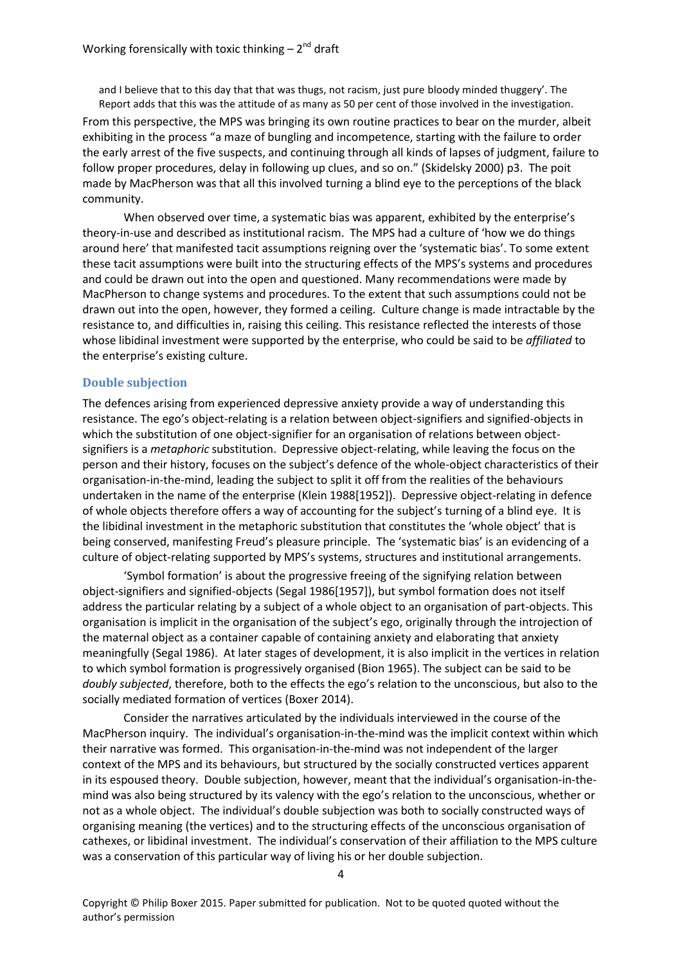and I believe that to this day that that was thugs, not racism, just pure bloody minded thuggery'. The Report adds that this was the attitude of as many as 50 per cent of those involved in the investigation.

From this perspective, the MPS was bringing its own routine practices to bear on the murder, albeit exhibiting in the process "a maze of bungling and incompetence, starting with the failure to order the early arrest of the five suspects, and continuing through all kinds of lapses of judgment, failure to follow proper procedures, delay in following up clues, and so on." [\(Skidelsky 2000\)](#page-9-3) p3. The poit made by MacPherson was that all this involved turning a blind eye to the perceptions of the black community.

When observed over time, a systematic bias was apparent, exhibited by the enterprise's theory-in-use and described as institutional racism. The MPS had a culture of 'how we do things around here' that manifested tacit assumptions reigning over the 'systematic bias'. To some extent these tacit assumptions were built into the structuring effects of the MPS's systems and procedures and could be drawn out into the open and questioned. Many recommendations were made by MacPherson to change systems and procedures. To the extent that such assumptions could not be drawn out into the open, however, they formed a ceiling. Culture change is made intractable by the resistance to, and difficulties in, raising this ceiling. This resistance reflected the interests of those whose libidinal investment were supported by the enterprise, who could be said to be *affiliated* to the enterprise's existing culture.

#### **Double subjection**

The defences arising from experienced depressive anxiety provide a way of understanding this resistance. The ego's object-relating is a relation between object-signifiers and signified-objects in which the substitution of one object-signifier for an organisation of relations between objectsignifiers is a *metaphoric* substitution. Depressive object-relating, while leaving the focus on the person and their history, focuses on the subject's defence of the whole-object characteristics of their organisation-in-the-mind, leading the subject to split it off from the realities of the behaviours undertaken in the name of the enterprise [\(Klein 1988\[1952\]\)](#page-9-4). Depressive object-relating in defence of whole objects therefore offers a way of accounting for the subject's turning of a blind eye. It is the libidinal investment in the metaphoric substitution that constitutes the 'whole object' that is being conserved, manifesting Freud's pleasure principle. The 'systematic bias' is an evidencing of a culture of object-relating supported by MPS's systems, structures and institutional arrangements.

'Symbol formation' is about the progressive freeing of the signifying relation between object-signifiers and signified-objects [\(Segal 1986\[1957\]\)](#page-9-5), but symbol formation does not itself address the particular relating by a subject of a whole object to an organisation of part-objects. This organisation is implicit in the organisation of the subject's ego, originally through the introjection of the maternal object as a container capable of containing anxiety and elaborating that anxiety meaningfully [\(Segal 1986\)](#page-9-6). At later stages of development, it is also implicit in the vertices in relation to which symbol formation is progressively organised [\(Bion 1965\)](#page-8-9). The subject can be said to be *doubly subjected*, therefore, both to the effects the ego's relation to the unconscious, but also to the socially mediated formation of vertices [\(Boxer 2014\)](#page-8-2).

Consider the narratives articulated by the individuals interviewed in the course of the MacPherson inquiry. The individual's organisation-in-the-mind was the implicit context within which their narrative was formed. This organisation-in-the-mind was not independent of the larger context of the MPS and its behaviours, but structured by the socially constructed vertices apparent in its espoused theory. Double subjection, however, meant that the individual's organisation-in-themind was also being structured by its valency with the ego's relation to the unconscious, whether or not as a whole object. The individual's double subjection was both to socially constructed ways of organising meaning (the vertices) and to the structuring effects of the unconscious organisation of cathexes, or libidinal investment. The individual's conservation of their affiliation to the MPS culture was a conservation of this particular way of living his or her double subjection.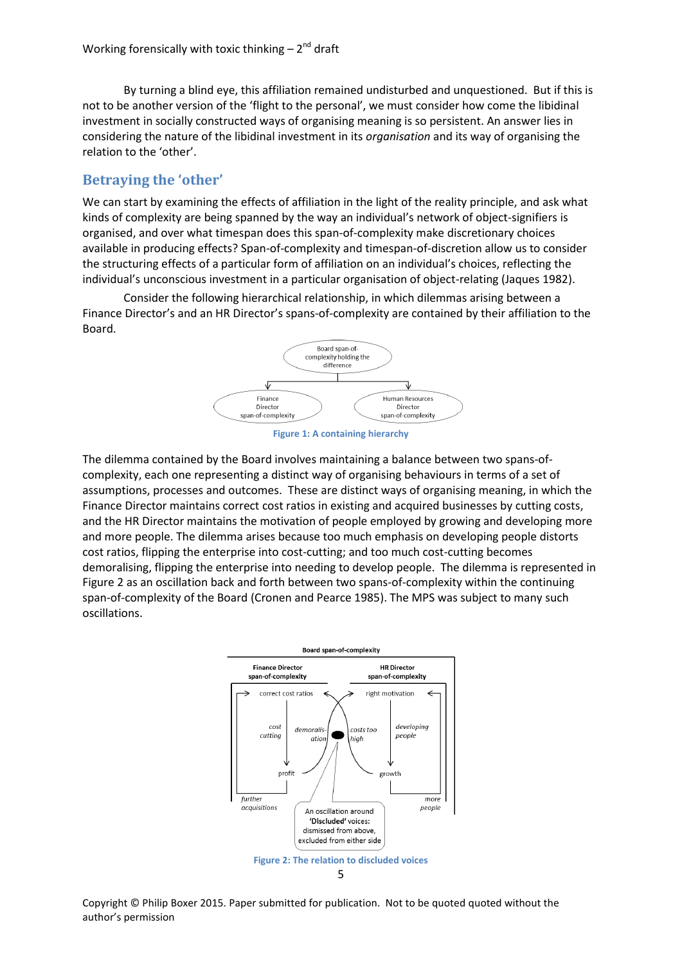By turning a blind eye, this affiliation remained undisturbed and unquestioned. But if this is not to be another version of the 'flight to the personal', we must consider how come the libidinal investment in socially constructed ways of organising meaning is so persistent. An answer lies in considering the nature of the libidinal investment in its *organisation* and its way of organising the relation to the 'other'.

## **Betraying the 'other'**

We can start by examining the effects of affiliation in the light of the reality principle, and ask what kinds of complexity are being spanned by the way an individual's network of object-signifiers is organised, and over what timespan does this span-of-complexity make discretionary choices available in producing effects? Span-of-complexity and timespan-of-discretion allow us to consider the structuring effects of a particular form of affiliation on an individual's choices, reflecting the individual's unconscious investment in a particular organisation of object-relating [\(Jaques 1982\)](#page-8-10).

Consider the following hierarchical relationship, in which dilemmas arising between a Finance Director's and an HR Director's spans-of-complexity are contained by their affiliation to the Board.





The dilemma contained by the Board involves maintaining a balance between two spans-ofcomplexity, each one representing a distinct way of organising behaviours in terms of a set of assumptions, processes and outcomes. These are distinct ways of organising meaning, in which the Finance Director maintains correct cost ratios in existing and acquired businesses by cutting costs, and the HR Director maintains the motivation of people employed by growing and developing more and more people. The dilemma arises because too much emphasis on developing people distorts cost ratios, flipping the enterprise into cost-cutting; and too much cost-cutting becomes demoralising, flipping the enterprise into needing to develop people. The dilemma is represented in [Figure 2](#page-4-0) as an oscillation back and forth between two spans-of-complexity within the continuing span-of-complexity of the Board [\(Cronen and Pearce 1985\)](#page-8-11). The MPS was subject to many such oscillations.



<span id="page-4-0"></span>Copyright © Philip Boxer 2015. Paper submitted for publication. Not to be quoted quoted without the author's permission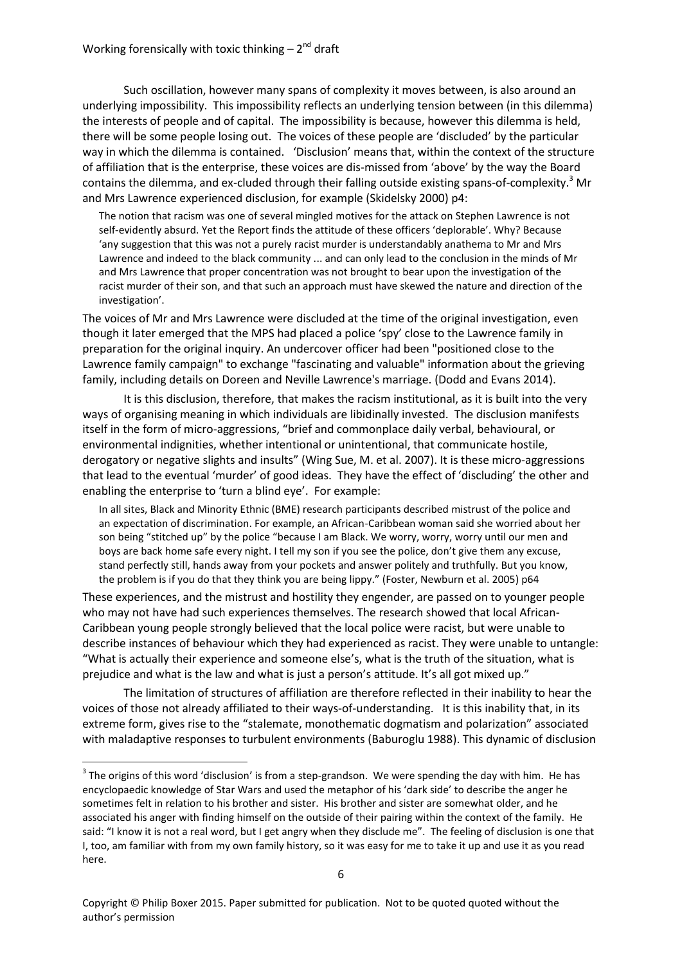Such oscillation, however many spans of complexity it moves between, is also around an underlying impossibility. This impossibility reflects an underlying tension between (in this dilemma) the interests of people and of capital. The impossibility is because, however this dilemma is held, there will be some people losing out. The voices of these people are 'discluded' by the particular way in which the dilemma is contained. 'Disclusion' means that, within the context of the structure of affiliation that is the enterprise, these voices are dis-missed from 'above' by the way the Board contains the dilemma, and ex-cluded through their falling outside existing spans-of-complexity.<sup>3</sup> Mr and Mrs Lawrence experienced disclusion, for example [\(Skidelsky 2000\)](#page-9-3) p4:

The notion that racism was one of several mingled motives for the attack on Stephen Lawrence is not self-evidently absurd. Yet the Report finds the attitude of these officers 'deplorable'. Why? Because 'any suggestion that this was not a purely racist murder is understandably anathema to Mr and Mrs Lawrence and indeed to the black community ... and can only lead to the conclusion in the minds of Mr and Mrs Lawrence that proper concentration was not brought to bear upon the investigation of the racist murder of their son, and that such an approach must have skewed the nature and direction of the investigation'.

The voices of Mr and Mrs Lawrence were discluded at the time of the original investigation, even though it later emerged that the MPS had placed a police 'spy' close to the Lawrence family in preparation for the original inquiry. An undercover officer had been "positioned close to the Lawrence family campaign" to exchange "fascinating and valuable" information about the grieving family, including details on Doreen and Neville Lawrence's marriage. [\(Dodd and Evans 2014\)](#page-8-12).

It is this disclusion, therefore, that makes the racism institutional, as it is built into the very ways of organising meaning in which individuals are libidinally invested. The disclusion manifests itself in the form of micro-aggressions, "brief and commonplace daily verbal, behavioural, or environmental indignities, whether intentional or unintentional, that communicate hostile, derogatory or negative slights and insults" [\(Wing Sue, M. et al. 2007\)](#page-9-7). It is these micro-aggressions that lead to the eventual 'murder' of good ideas. They have the effect of 'discluding' the other and enabling the enterprise to 'turn a blind eye'. For example:

In all sites, Black and Minority Ethnic (BME) research participants described mistrust of the police and an expectation of discrimination. For example, an African-Caribbean woman said she worried about her son being "stitched up" by the police "because I am Black. We worry, worry, worry until our men and boys are back home safe every night. I tell my son if you see the police, don't give them any excuse, stand perfectly still, hands away from your pockets and answer politely and truthfully. But you know, the problem is if you do that they think you are being lippy." [\(Foster, Newburn et al. 2005\)](#page-8-13) p64

These experiences, and the mistrust and hostility they engender, are passed on to younger people who may not have had such experiences themselves. The research showed that local African-Caribbean young people strongly believed that the local police were racist, but were unable to describe instances of behaviour which they had experienced as racist. They were unable to untangle: "What is actually their experience and someone else's, what is the truth of the situation, what is prejudice and what is the law and what is just a person's attitude. It's all got mixed up."

The limitation of structures of affiliation are therefore reflected in their inability to hear the voices of those not already affiliated to their ways-of-understanding. It is this inability that, in its extreme form, gives rise to the "stalemate, monothematic dogmatism and polarization" associated with maladaptive responses to turbulent environments [\(Baburoglu 1988\)](#page-8-14). This dynamic of disclusion

**.** 

 $3$  The origins of this word 'disclusion' is from a step-grandson. We were spending the day with him. He has encyclopaedic knowledge of Star Wars and used the metaphor of his 'dark side' to describe the anger he sometimes felt in relation to his brother and sister. His brother and sister are somewhat older, and he associated his anger with finding himself on the outside of their pairing within the context of the family. He said: "I know it is not a real word, but I get angry when they disclude me". The feeling of disclusion is one that I, too, am familiar with from my own family history, so it was easy for me to take it up and use it as you read here.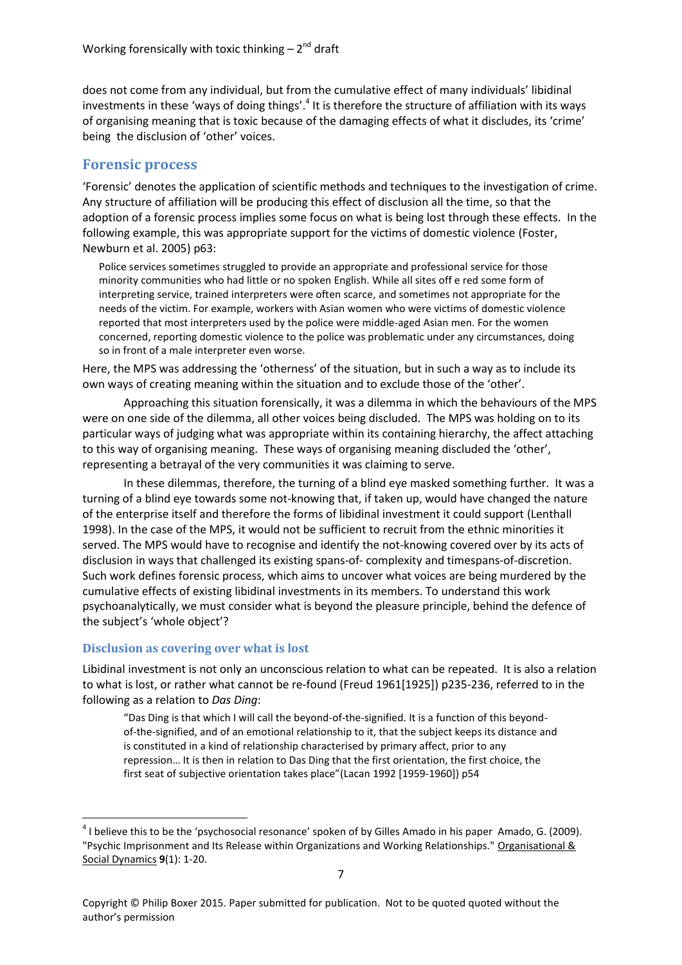does not come from any individual, but from the cumulative effect of many individuals' libidinal investments in these 'ways of doing things'.<sup>4</sup> It is therefore the structure of affiliation with its ways of organising meaning that is toxic because of the damaging effects of what it discludes, its 'crime' being the disclusion of 'other' voices.

## **Forensic process**

'Forensic' denotes the application of scientific methods and techniques to the investigation of crime. Any structure of affiliation will be producing this effect of disclusion all the time, so that the adoption of a forensic process implies some focus on what is being lost through these effects. In the following example, this was appropriate support for the victims of domestic violence [\(Foster,](#page-8-13)  [Newburn et al. 2005\)](#page-8-13) p63:

Police services sometimes struggled to provide an appropriate and professional service for those minority communities who had little or no spoken English. While all sites off e red some form of interpreting service, trained interpreters were often scarce, and sometimes not appropriate for the needs of the victim. For example, workers with Asian women who were victims of domestic violence reported that most interpreters used by the police were middle-aged Asian men. For the women concerned, reporting domestic violence to the police was problematic under any circumstances, doing so in front of a male interpreter even worse.

Here, the MPS was addressing the 'otherness' of the situation, but in such a way as to include its own ways of creating meaning within the situation and to exclude those of the 'other'.

Approaching this situation forensically, it was a dilemma in which the behaviours of the MPS were on one side of the dilemma, all other voices being discluded. The MPS was holding on to its particular ways of judging what was appropriate within its containing hierarchy, the affect attaching to this way of organising meaning. These ways of organising meaning discluded the 'other', representing a betrayal of the very communities it was claiming to serve.

In these dilemmas, therefore, the turning of a blind eye masked something further. It was a turning of a blind eye towards some not-knowing that, if taken up, would have changed the nature of the enterprise itself and therefore the forms of libidinal investment it could support [\(Lenthall](#page-9-8)  [1998\)](#page-9-8). In the case of the MPS, it would not be sufficient to recruit from the ethnic minorities it served. The MPS would have to recognise and identify the not-knowing covered over by its acts of disclusion in ways that challenged its existing spans-of- complexity and timespans-of-discretion. Such work defines forensic process, which aims to uncover what voices are being murdered by the cumulative effects of existing libidinal investments in its members. To understand this work psychoanalytically, we must consider what is beyond the pleasure principle, behind the defence of the subject's 'whole object'?

## **Disclusion as covering over what is lost**

1

Libidinal investment is not only an unconscious relation to what can be repeated. It is also a relation to what is lost, or rather what cannot be re-found [\(Freud 1961\[1925\]\)](#page-8-15) p235-236, referred to in the following as a relation to *Das Ding*:

"Das Ding is that which I will call the beyond-of-the-signified. It is a function of this beyondof-the-signified, and of an emotional relationship to it, that the subject keeps its distance and is constituted in a kind of relationship characterised by primary affect, prior to any repression… It is then in relation to Das Ding that the first orientation, the first choice, the first seat of subjective orientation takes place"[\(Lacan 1992 \[1959-1960\]\)](#page-9-9) p54

 $<sup>4</sup>$  I believe this to be the 'psychosocial resonance' spoken of by Gilles Amado in his paper Amado, G. (2009).</sup> "Psychic Imprisonment and Its Release within Organizations and Working Relationships." Organisational & Social Dynamics **9**(1): 1-20.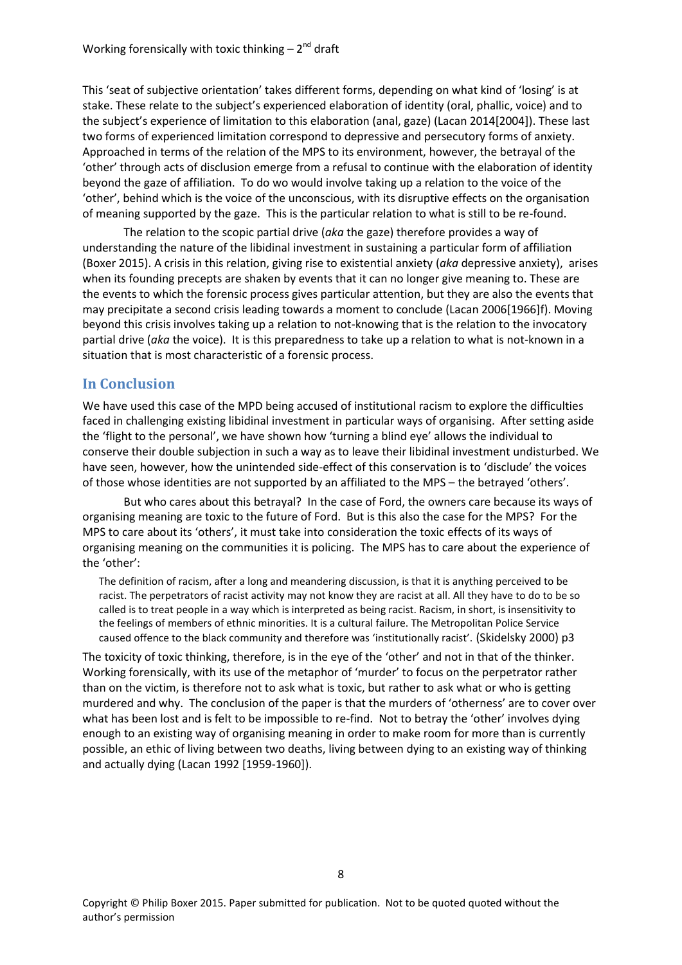This 'seat of subjective orientation' takes different forms, depending on what kind of 'losing' is at stake. These relate to the subject's experienced elaboration of identity (oral, phallic, voice) and to the subject's experience of limitation to this elaboration (anal, gaze) [\(Lacan 2014\[2004\]\)](#page-9-10). These last two forms of experienced limitation correspond to depressive and persecutory forms of anxiety. Approached in terms of the relation of the MPS to its environment, however, the betrayal of the 'other' through acts of disclusion emerge from a refusal to continue with the elaboration of identity beyond the gaze of affiliation. To do wo would involve taking up a relation to the voice of the 'other', behind which is the voice of the unconscious, with its disruptive effects on the organisation of meaning supported by the gaze. This is the particular relation to what is still to be re-found.

The relation to the scopic partial drive (*aka* the gaze) therefore provides a way of understanding the nature of the libidinal investment in sustaining a particular form of affiliation [\(Boxer 2015\)](#page-8-4). A crisis in this relation, giving rise to existential anxiety (*aka* depressive anxiety), arises when its founding precepts are shaken by events that it can no longer give meaning to. These are the events to which the forensic process gives particular attention, but they are also the events that may precipitate a second crisis leading towards a moment to conclude [\(Lacan 2006\[1966\]f\)](#page-9-11). Moving beyond this crisis involves taking up a relation to not-knowing that is the relation to the invocatory partial drive (*aka* the voice). It is this preparedness to take up a relation to what is not-known in a situation that is most characteristic of a forensic process.

## **In Conclusion**

We have used this case of the MPD being accused of institutional racism to explore the difficulties faced in challenging existing libidinal investment in particular ways of organising. After setting aside the 'flight to the personal', we have shown how 'turning a blind eye' allows the individual to conserve their double subjection in such a way as to leave their libidinal investment undisturbed. We have seen, however, how the unintended side-effect of this conservation is to 'disclude' the voices of those whose identities are not supported by an affiliated to the MPS – the betrayed 'others'.

But who cares about this betrayal? In the case of Ford, the owners care because its ways of organising meaning are toxic to the future of Ford. But is this also the case for the MPS? For the MPS to care about its 'others', it must take into consideration the toxic effects of its ways of organising meaning on the communities it is policing. The MPS has to care about the experience of the 'other':

The definition of racism, after a long and meandering discussion, is that it is anything perceived to be racist. The perpetrators of racist activity may not know they are racist at all. All they have to do to be so called is to treat people in a way which is interpreted as being racist. Racism, in short, is insensitivity to the feelings of members of ethnic minorities. It is a cultural failure. The Metropolitan Police Service caused offence to the black community and therefore was 'institutionally racist'. [\(Skidelsky 2000\)](#page-9-3) p3

The toxicity of toxic thinking, therefore, is in the eye of the 'other' and not in that of the thinker. Working forensically, with its use of the metaphor of 'murder' to focus on the perpetrator rather than on the victim, is therefore not to ask what is toxic, but rather to ask what or who is getting murdered and why. The conclusion of the paper is that the murders of 'otherness' are to cover over what has been lost and is felt to be impossible to re-find. Not to betray the 'other' involves dying enough to an existing way of organising meaning in order to make room for more than is currently possible, an ethic of living between two deaths, living between dying to an existing way of thinking and actually dying [\(Lacan 1992 \[1959-1960\]\)](#page-9-9).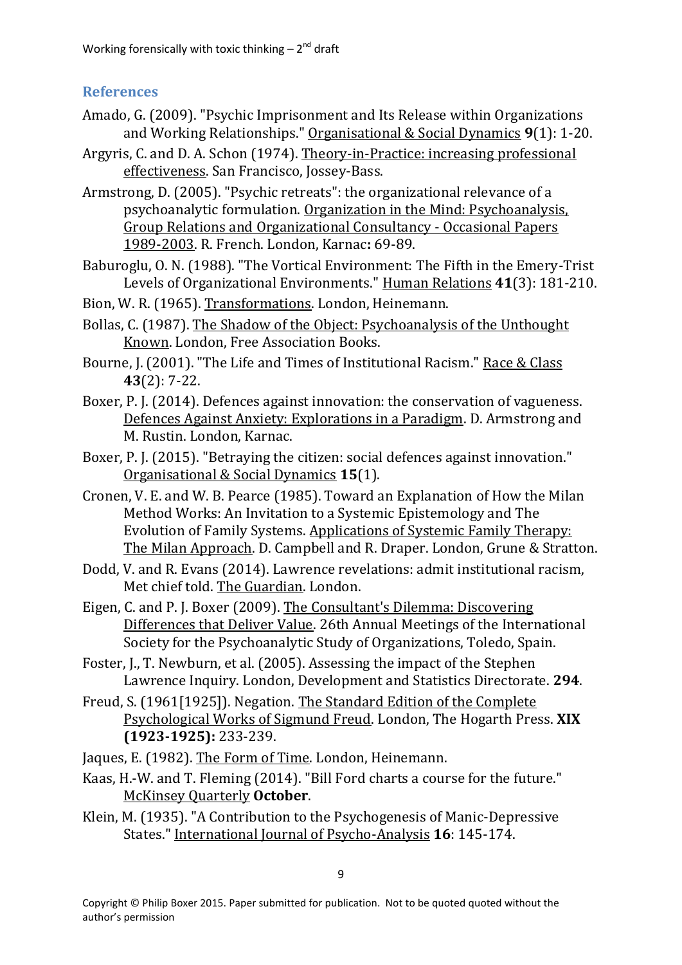# **References**

- Amado, G. (2009). "Psychic Imprisonment and Its Release within Organizations and Working Relationships." Organisational & Social Dynamics **9**(1): 1-20.
- <span id="page-8-5"></span>Argyris, C. and D. A. Schon (1974). Theory-in-Practice: increasing professional effectiveness. San Francisco, Jossey-Bass.
- <span id="page-8-8"></span>Armstrong, D. (2005). "Psychic retreats": the organizational relevance of a psychoanalytic formulation. Organization in the Mind: Psychoanalysis, Group Relations and Organizational Consultancy - Occasional Papers 1989-2003. R. French. London, Karnac**:** 69-89.
- <span id="page-8-14"></span>Baburoglu, O. N. (1988). "The Vortical Environment: The Fifth in the Emery-Trist Levels of Organizational Environments." Human Relations **41**(3): 181-210.
- <span id="page-8-9"></span>Bion, W. R. (1965). Transformations. London, Heinemann.
- <span id="page-8-6"></span>Bollas, C. (1987). The Shadow of the Object: Psychoanalysis of the Unthought Known. London, Free Association Books.
- <span id="page-8-1"></span>Bourne, J. (2001). "The Life and Times of Institutional Racism." Race & Class **43**(2): 7-22.
- <span id="page-8-2"></span>Boxer, P. J. (2014). Defences against innovation: the conservation of vagueness. Defences Against Anxiety: Explorations in a Paradigm. D. Armstrong and M. Rustin. London, Karnac.
- <span id="page-8-4"></span>Boxer, P. J. (2015). "Betraying the citizen: social defences against innovation." Organisational & Social Dynamics **15**(1).
- <span id="page-8-11"></span>Cronen, V. E. and W. B. Pearce (1985). Toward an Explanation of How the Milan Method Works: An Invitation to a Systemic Epistemology and The Evolution of Family Systems. Applications of Systemic Family Therapy: The Milan Approach. D. Campbell and R. Draper. London, Grune & Stratton.
- <span id="page-8-12"></span>Dodd, V. and R. Evans (2014). Lawrence revelations: admit institutional racism, Met chief told. The Guardian. London.
- <span id="page-8-3"></span>Eigen, C. and P. J. Boxer (2009). The Consultant's Dilemma: Discovering Differences that Deliver Value. 26th Annual Meetings of the International Society for the Psychoanalytic Study of Organizations, Toledo, Spain.
- <span id="page-8-13"></span>Foster, J., T. Newburn, et al. (2005). Assessing the impact of the Stephen Lawrence Inquiry. London, Development and Statistics Directorate. **294**.
- <span id="page-8-15"></span>Freud, S. (1961[1925]). Negation. The Standard Edition of the Complete Psychological Works of Sigmund Freud. London, The Hogarth Press. **XIX (1923-1925):** 233-239.
- <span id="page-8-10"></span>Jaques, E. (1982). The Form of Time. London, Heinemann.
- <span id="page-8-0"></span>Kaas, H.-W. and T. Fleming (2014). "Bill Ford charts a course for the future." McKinsey Quarterly **October**.
- <span id="page-8-7"></span>Klein, M. (1935). "A Contribution to the Psychogenesis of Manic-Depressive States." International Journal of Psycho-Analysis **16**: 145-174.